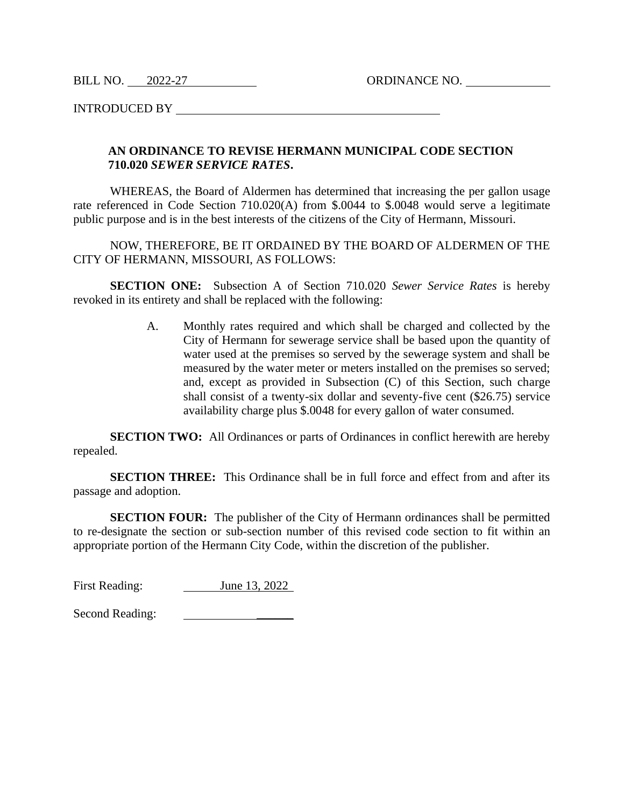BILL NO. 2022-27 ORDINANCE NO.

INTRODUCED BY

## **AN ORDINANCE TO REVISE HERMANN MUNICIPAL CODE SECTION 710.020** *SEWER SERVICE RATES***.**

WHEREAS, the Board of Aldermen has determined that increasing the per gallon usage rate referenced in Code Section 710.020(A) from \$.0044 to \$.0048 would serve a legitimate public purpose and is in the best interests of the citizens of the City of Hermann, Missouri.

NOW, THEREFORE, BE IT ORDAINED BY THE BOARD OF ALDERMEN OF THE CITY OF HERMANN, MISSOURI, AS FOLLOWS:

**SECTION ONE:** Subsection A of Section 710.020 *Sewer Service Rates* is hereby revoked in its entirety and shall be replaced with the following:

> A. Monthly rates required and which shall be charged and collected by the City of Hermann for sewerage service shall be based upon the quantity of water used at the premises so served by the sewerage system and shall be measured by the water meter or meters installed on the premises so served; and, except as provided in Subsection (C) of this Section, such charge shall consist of a twenty-six dollar and seventy-five cent (\$26.75) service availability charge plus \$.0048 for every gallon of water consumed.

**SECTION TWO:** All Ordinances or parts of Ordinances in conflict herewith are hereby repealed.

**SECTION THREE:** This Ordinance shall be in full force and effect from and after its passage and adoption.

**SECTION FOUR:** The publisher of the City of Hermann ordinances shall be permitted to re-designate the section or sub-section number of this revised code section to fit within an appropriate portion of the Hermann City Code, within the discretion of the publisher.

First Reading: June 13, 2022

Second Reading: